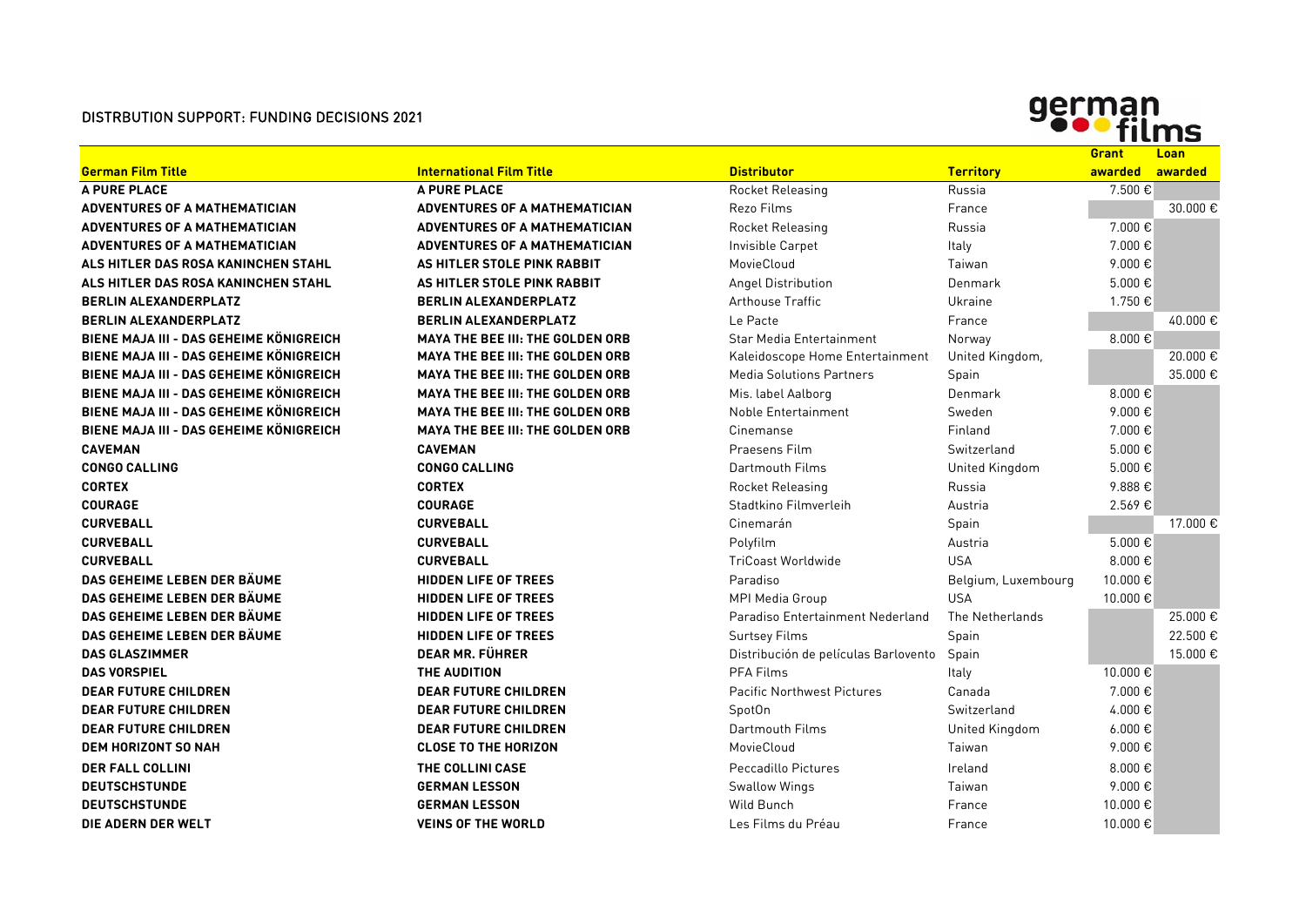## DISTRBUTION SUPPORT: FUNDING DECISIONS 2021



|                                         |                                         |                                      |                     | <b>Grant</b>     | <b>Loan</b> |
|-----------------------------------------|-----------------------------------------|--------------------------------------|---------------------|------------------|-------------|
| <b>German Film Title</b>                | <b>International Film Title</b>         | <b>Distributor</b>                   | <b>Territory</b>    | awarded          | awarded     |
| A PURE PLACE                            | A PURE PLACE                            | <b>Rocket Releasing</b>              | Russia              | 7.500€           |             |
| <b>ADVENTURES OF A MATHEMATICIAN</b>    | ADVENTURES OF A MATHEMATICIAN           | Rezo Films                           | France              |                  | 30,000 €    |
| <b>ADVENTURES OF A MATHEMATICIAN</b>    | ADVENTURES OF A MATHEMATICIAN           | Rocket Releasing                     | Russia              | 7.000 €          |             |
| <b>ADVENTURES OF A MATHEMATICIAN</b>    | <b>ADVENTURES OF A MATHEMATICIAN</b>    | Invisible Carpet                     | Italy               | 7.000€           |             |
| ALS HITLER DAS ROSA KANINCHEN STAHL     | AS HITLER STOLE PINK RABBIT             | MovieCloud                           | Taiwan              | 9.000€           |             |
| ALS HITLER DAS ROSA KANINCHEN STAHL     | AS HITLER STOLE PINK RABBIT             | Angel Distribution                   | Denmark             | $5.000 \in$      |             |
| <b>BERLIN ALEXANDERPLATZ</b>            | <b>BERLIN ALEXANDERPLATZ</b>            | <b>Arthouse Traffic</b>              | Ukraine             | 1.750€           |             |
| <b>BERLIN ALEXANDERPLATZ</b>            | <b>BERLIN ALEXANDERPLATZ</b>            | Le Pacte                             | France              |                  | 40.000€     |
| BIENE MAJA III - DAS GEHEIME KÖNIGREICH | <b>MAYA THE BEE III: THE GOLDEN ORB</b> | Star Media Entertainment             | Norway              | 8.000€           |             |
| BIENE MAJA III - DAS GEHEIME KÖNIGREICH | <b>MAYA THE BEE III: THE GOLDEN ORB</b> | Kaleidoscope Home Entertainment      | United Kingdom,     |                  | 20.000€     |
| BIENE MAJA III - DAS GEHEIME KÖNIGREICH | <b>MAYA THE BEE III: THE GOLDEN ORB</b> | <b>Media Solutions Partners</b>      | Spain               |                  | 35,000€     |
| BIENE MAJA III - DAS GEHEIME KÖNIGREICH | <b>MAYA THE BEE III: THE GOLDEN ORB</b> | Mis. label Aalborg                   | Denmark             | 8.000€           |             |
| BIENE MAJA III - DAS GEHEIME KÖNIGREICH | <b>MAYA THE BEE III: THE GOLDEN ORB</b> | Noble Entertainment                  | Sweden              | 9.000 $\epsilon$ |             |
| BIENE MAJA III - DAS GEHEIME KÖNIGREICH | <b>MAYA THE BEE III: THE GOLDEN ORB</b> | Cinemanse                            | Finland             | 7.000€           |             |
| <b>CAVEMAN</b>                          | <b>CAVEMAN</b>                          | Praesens Film                        | Switzerland         | 5.000€           |             |
| <b>CONGO CALLING</b>                    | <b>CONGO CALLING</b>                    | Dartmouth Films                      | United Kingdom      | $5.000 \in$      |             |
| <b>CORTEX</b>                           | <b>CORTEX</b>                           | Rocket Releasing                     | Russia              | 9.888€           |             |
| <b>COURAGE</b>                          | <b>COURAGE</b>                          | Stadtkino Filmverleih                | Austria             | 2.569€           |             |
| <b>CURVEBALL</b>                        | <b>CURVEBALL</b>                        | Cinemarán                            | Spain               |                  | 17.000 €    |
| <b>CURVEBALL</b>                        | <b>CURVEBALL</b>                        | Polyfilm                             | Austria             | $5.000 \in$      |             |
| <b>CURVEBALL</b>                        | <b>CURVEBALL</b>                        | <b>TriCoast Worldwide</b>            | <b>USA</b>          | 8.000€           |             |
| DAS GEHEIME LEBEN DER BÄUME             | <b>HIDDEN LIFE OF TREES</b>             | Paradiso                             | Belgium, Luxembourg | 10.000€          |             |
| DAS GEHEIME LEBEN DER BÄUME             | <b>HIDDEN LIFE OF TREES</b>             | <b>MPI Media Group</b>               | <b>USA</b>          | 10.000 €         |             |
| DAS GEHEIME LEBEN DER BÄUME             | <b>HIDDEN LIFE OF TREES</b>             | Paradiso Entertainment Nederland     | The Netherlands     |                  | 25.000€     |
| DAS GEHEIME LEBEN DER BÄUME             | <b>HIDDEN LIFE OF TREES</b>             | <b>Surtsey Films</b>                 | Spain               |                  | 22.500 €    |
| <b>DAS GLASZIMMER</b>                   | <b>DEAR MR. FÜHRER</b>                  | Distribución de películas Barlovento | Spain               |                  | 15.000€     |
| <b>DAS VORSPIEL</b>                     | THE AUDITION                            | PFA Films                            | Italy               | 10.000 €         |             |
| <b>DEAR FUTURE CHILDREN</b>             | <b>DEAR FUTURE CHILDREN</b>             | <b>Pacific Northwest Pictures</b>    | Canada              | 7.000€           |             |
| <b>DEAR FUTURE CHILDREN</b>             | <b>DEAR FUTURE CHILDREN</b>             | SpotOn                               | Switzerland         | 4.000€           |             |
| <b>DEAR FUTURE CHILDREN</b>             | <b>DEAR FUTURE CHILDREN</b>             | Dartmouth Films                      | United Kingdom      | $6.000 \in$      |             |
| <b>DEM HORIZONT SO NAH</b>              | <b>CLOSE TO THE HORIZON</b>             | MovieCloud                           | Taiwan              | 9.000€           |             |
| <b>DER FALL COLLINI</b>                 | THE COLLINI CASE                        | Peccadillo Pictures                  | Ireland             | 8.000€           |             |
| <b>DEUTSCHSTUNDE</b>                    | <b>GERMAN LESSON</b>                    | <b>Swallow Wings</b>                 | Taiwan              | 9.000€           |             |
| <b>DEUTSCHSTUNDE</b>                    | <b>GERMAN LESSON</b>                    | Wild Bunch                           | France              | 10.000 €         |             |
| DIE ADERN DER WELT                      | <b>VEINS OF THE WORLD</b>               | Les Films du Préau                   | France              | 10.000 €         |             |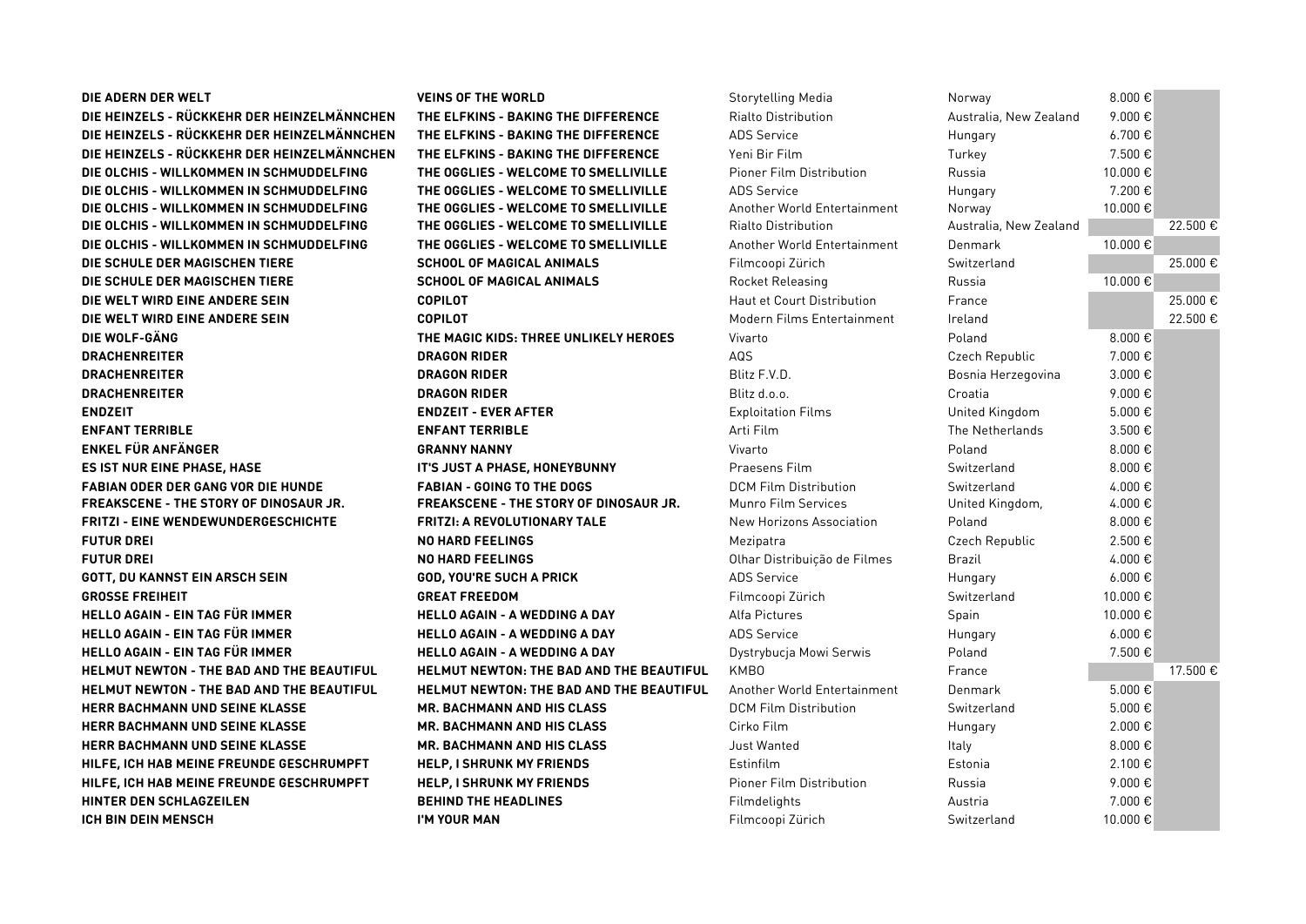| DIE ADERN DER WELT                               | <b>VEINS OF THE WORLD</b>                       | <b>Storytelling Media</b>         | Norway                 | 8.000€            |          |
|--------------------------------------------------|-------------------------------------------------|-----------------------------------|------------------------|-------------------|----------|
| DIE HEINZELS - RÜCKKEHR DER HEINZELMÄNNCHEN      | THE ELFKINS - BAKING THE DIFFERENCE             | <b>Rialto Distribution</b>        | Australia, New Zealand | 9.000€            |          |
| DIE HEINZELS - RÜCKKEHR DER HEINZELMÄNNCHEN      | THE ELFKINS - BAKING THE DIFFERENCE             | <b>ADS Service</b>                | Hungary                | 6.700€            |          |
| DIE HEINZELS - RÜCKKEHR DER HEINZELMÄNNCHEN      | THE ELFKINS - BAKING THE DIFFERENCE             | Yeni Bir Film                     | Turkey                 | 7.500€            |          |
| DIE OLCHIS - WILLKOMMEN IN SCHMUDDELFING         | THE OGGLIES - WELCOME TO SMELLIVILLE            | Pioner Film Distribution          | Russia                 | 10.000€           |          |
| DIE OLCHIS - WILLKOMMEN IN SCHMUDDELFING         | THE OGGLIES - WELCOME TO SMELLIVILLE            | <b>ADS Service</b>                | Hungary                | 7.200€            |          |
| DIE OLCHIS - WILLKOMMEN IN SCHMUDDELFING         | THE OGGLIES - WELCOME TO SMELLIVILLE            | Another World Entertainment       | Norway                 | 10.000€           |          |
| DIE OLCHIS - WILLKOMMEN IN SCHMUDDELFING         | THE OGGLIES - WELCOME TO SMELLIVILLE            | Rialto Distribution               | Australia, New Zealand |                   | 22.500 € |
| DIE OLCHIS - WILLKOMMEN IN SCHMUDDELFING         | THE OGGLIES - WELCOME TO SMELLIVILLE            | Another World Entertainment       | Denmark                | 10.000 €          |          |
| DIE SCHULE DER MAGISCHEN TIERE                   | <b>SCHOOL OF MAGICAL ANIMALS</b>                | Filmcoopi Zürich                  | Switzerland            |                   | 25.000€  |
| DIE SCHULE DER MAGISCHEN TIERE                   | <b>SCHOOL OF MAGICAL ANIMALS</b>                | <b>Rocket Releasing</b>           | Russia                 | 10.000€           |          |
| DIE WELT WIRD EINE ANDERE SEIN                   | <b>COPILOT</b>                                  | <b>Haut et Court Distribution</b> | France                 |                   | 25.000€  |
| DIE WELT WIRD EINE ANDERE SEIN                   | <b>COPILOT</b>                                  | Modern Films Entertainment        | Ireland                |                   | 22.500 € |
| DIE WOLF-GÄNG                                    | THE MAGIC KIDS: THREE UNLIKELY HEROES           | Vivarto                           | Poland                 | 8.000 $\epsilon$  |          |
| <b>DRACHENREITER</b>                             | <b>DRAGON RIDER</b>                             | AQS                               | Czech Republic         | 7.000€            |          |
| <b>DRACHENREITER</b>                             | <b>DRAGON RIDER</b>                             | Blitz F.V.D.                      | Bosnia Herzegovina     | 3.000 €           |          |
| <b>DRACHENREITER</b>                             | <b>DRAGON RIDER</b>                             | Blitz d.o.o.                      | Croatia                | 9.000€            |          |
| <b>ENDZEIT</b>                                   | <b>ENDZEIT - EVER AFTER</b>                     | <b>Exploitation Films</b>         | United Kingdom         | 5.000€            |          |
| <b>ENFANT TERRIBLE</b>                           | <b>ENFANT TERRIBLE</b>                          | Arti Film                         | The Netherlands        | 3.500 €           |          |
| <b>ENKEL FÜR ANFÄNGER</b>                        | <b>GRANNY NANNY</b>                             | Vivarto                           | Poland                 | 8.000€            |          |
| <b>ES IST NUR EINE PHASE, HASE</b>               | IT'S JUST A PHASE, HONEYBUNNY                   | Praesens Film                     | Switzerland            | 8.000€            |          |
| <b>FABIAN ODER DER GANG VOR DIE HUNDE</b>        | <b>FABIAN - GOING TO THE DOGS</b>               | <b>DCM Film Distribution</b>      | Switzerland            | 4.000€            |          |
| FREAKSCENE - THE STORY OF DINOSAUR JR.           | <b>FREAKSCENE - THE STORY OF DINOSAUR JR.</b>   | Munro Film Services               | United Kingdom,        | 4.000€            |          |
| <b>FRITZI - EINE WENDEWUNDERGESCHICHTE</b>       | <b>FRITZI: A REVOLUTIONARY TALE</b>             | New Horizons Association          | Poland                 | 8.000€            |          |
| <b>FUTUR DREI</b>                                | <b>NO HARD FEELINGS</b>                         | Mezipatra                         | Czech Republic         | 2.500€            |          |
| <b>FUTUR DREI</b>                                | <b>NO HARD FEELINGS</b>                         | Olhar Distribuição de Filmes      | Brazil                 | 4.000 €           |          |
| <b>GOTT, DU KANNST EIN ARSCH SEIN</b>            | <b>GOD, YOU'RE SUCH A PRICK</b>                 | <b>ADS Service</b>                | Hungary                | $6.000 \text{ €}$ |          |
| <b>GROSSE FREIHEIT</b>                           | <b>GREAT FREEDOM</b>                            | Filmcoopi Zürich                  | Switzerland            | 10.000€           |          |
| HELLO AGAIN - EIN TAG FÜR IMMER                  | <b>HELLO AGAIN - A WEDDING A DAY</b>            | Alfa Pictures                     | Spain                  | 10.000€           |          |
| HELLO AGAIN - EIN TAG FÜR IMMER                  | <b>HELLO AGAIN - A WEDDING A DAY</b>            | <b>ADS Service</b>                | Hungary                | $6.000 \text{€}$  |          |
| HELLO AGAIN - EIN TAG FÜR IMMER                  | <b>HELLO AGAIN - A WEDDING A DAY</b>            | Dystrybucja Mowi Serwis           | Poland                 | 7.500€            |          |
| HELMUT NEWTON - THE BAD AND THE BEAUTIFUL        | HELMUT NEWTON: THE BAD AND THE BEAUTIFUL        | KMB <sub>0</sub>                  | France                 |                   | 17.500€  |
| <b>HELMUT NEWTON - THE BAD AND THE BEAUTIFUL</b> | <b>HELMUT NEWTON: THE BAD AND THE BEAUTIFUL</b> | Another World Entertainment       | Denmark                | 5.000€            |          |
| <b>HERR BACHMANN UND SEINE KLASSE</b>            | MR. BACHMANN AND HIS CLASS                      | <b>DCM Film Distribution</b>      | Switzerland            | 5.000€            |          |
| HERR BACHMANN UND SEINE KLASSE                   | MR. BACHMANN AND HIS CLASS                      | Cirko Film                        | Hungary                | $2.000 \text{ }€$ |          |
| <b>HERR BACHMANN UND SEINE KLASSE</b>            | <b>MR. BACHMANN AND HIS CLASS</b>               | Just Wanted                       | Italy                  | 8.000 $\epsilon$  |          |
| HILFE, ICH HAB MEINE FREUNDE GESCHRUMPFT         | <b>HELP, I SHRUNK MY FRIENDS</b>                | Estinfilm                         | Estonia                | 2.100€            |          |
| HILFE, ICH HAB MEINE FREUNDE GESCHRUMPFT         | <b>HELP, I SHRUNK MY FRIENDS</b>                | <b>Pioner Film Distribution</b>   | Russia                 | 9.000€            |          |
| HINTER DEN SCHLAGZEILEN                          | <b>BEHIND THE HEADLINES</b>                     | Filmdelights                      | Austria                | 7.000€            |          |
| ICH BIN DEIN MENSCH                              | I'M YOUR MAN                                    | Filmcoopi Zürich                  | Switzerland            | 10.000 €          |          |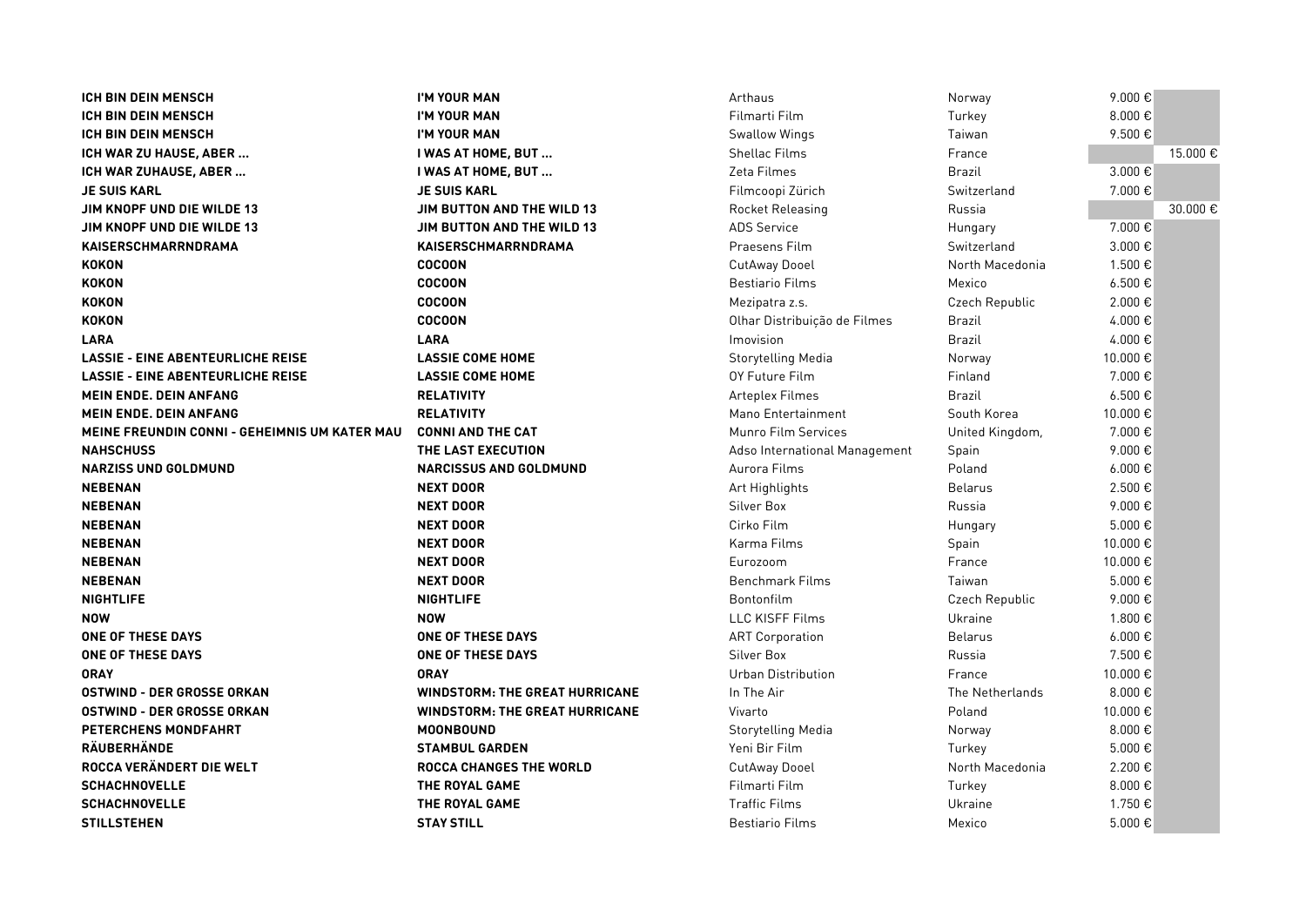| <b>ICH BIN DEIN MENSCH</b>                           | I'M YOUR MAN                          | Arthaus                       | Norway          | 9.000€            |          |
|------------------------------------------------------|---------------------------------------|-------------------------------|-----------------|-------------------|----------|
| <b>ICH BIN DEIN MENSCH</b>                           | I'M YOUR MAN                          | Filmarti Film                 | Turkey          | 8.000€            |          |
| <b>ICH BIN DEIN MENSCH</b>                           | I'M YOUR MAN                          | <b>Swallow Wings</b>          | Taiwan          | 9.500€            |          |
| ICH WAR ZU HAUSE, ABER                               | I WAS AT HOME, BUT                    | <b>Shellac Films</b>          | France          |                   | 15.000 € |
| ICH WAR ZUHAUSE, ABER                                | I WAS AT HOME, BUT                    | Zeta Filmes                   | <b>Brazil</b>   | 3.000€            |          |
| <b>JE SUIS KARL</b>                                  | <b>JE SUIS KARL</b>                   | Filmcoopi Zürich              | Switzerland     | 7.000€            |          |
| JIM KNOPF UND DIE WILDE 13                           | JIM BUTTON AND THE WILD 13            | Rocket Releasing              | Russia          |                   | 30.000 € |
| JIM KNOPF UND DIE WILDE 13                           | <b>JIM BUTTON AND THE WILD 13</b>     | <b>ADS Service</b>            | Hungary         | 7.000€            |          |
| KAISERSCHMARRNDRAMA                                  | KAISERSCHMARRNDRAMA                   | Praesens Film                 | Switzerland     | 3.000€            |          |
| <b>KOKON</b>                                         | <b>COCOON</b>                         | CutAway Dooel                 | North Macedonia | 1.500 €           |          |
| <b>KOKON</b>                                         | <b>COCOON</b>                         | <b>Bestiario Films</b>        | Mexico          | $6.500 \text{ }€$ |          |
| <b>KOKON</b>                                         | <b>COCOON</b>                         | Mezipatra z.s.                | Czech Republic  | 2.000€            |          |
| <b>KOKON</b>                                         | <b>COCOON</b>                         | Olhar Distribuição de Filmes  | <b>Brazil</b>   | 4.000€            |          |
| <b>LARA</b>                                          | <b>LARA</b>                           | Imovision                     | <b>Brazil</b>   | 4.000€            |          |
| <b>LASSIE - EINE ABENTEURLICHE REISE</b>             | <b>LASSIE COME HOME</b>               | Storytelling Media            | Norway          | 10.000€           |          |
| <b>LASSIE - EINE ABENTEURLICHE REISE</b>             | <b>LASSIE COME HOME</b>               | OY Future Film                | Finland         | 7.000€            |          |
| <b>MEIN ENDE. DEIN ANFANG</b>                        | <b>RELATIVITY</b>                     | Arteplex Filmes               | <b>Brazil</b>   | $6.500 \text{ }€$ |          |
| <b>MEIN ENDE. DEIN ANFANG</b>                        | <b>RELATIVITY</b>                     | Mano Entertainment            | South Korea     | 10.000€           |          |
| <b>MEINE FREUNDIN CONNI - GEHEIMNIS UM KATER MAU</b> | <b>CONNI AND THE CAT</b>              | Munro Film Services           | United Kingdom, | 7.000€            |          |
| <b>NAHSCHUSS</b>                                     | THE LAST EXECUTION                    | Adso International Management | Spain           | 9.000€            |          |
| <b>NARZISS UND GOLDMUND</b>                          | <b>NARCISSUS AND GOLDMUND</b>         | Aurora Films                  | Poland          | $6.000 \text{ }€$ |          |
| <b>NEBENAN</b>                                       | <b>NEXT DOOR</b>                      | Art Highlights                | <b>Belarus</b>  | 2.500€            |          |
| <b>NEBENAN</b>                                       | <b>NEXT DOOR</b>                      | Silver Box                    | Russia          | 9.000€            |          |
| <b>NEBENAN</b>                                       | <b>NEXT DOOR</b>                      | Cirko Film                    | Hungary         | 5.000€            |          |
| <b>NEBENAN</b>                                       | <b>NEXT DOOR</b>                      | Karma Films                   | Spain           | 10.000€           |          |
| <b>NEBENAN</b>                                       | <b>NEXT DOOR</b>                      | Eurozoom                      | France          | 10.000€           |          |
| <b>NEBENAN</b>                                       | <b>NEXT DOOR</b>                      | <b>Benchmark Films</b>        | Taiwan          | 5.000€            |          |
| <b>NIGHTLIFE</b>                                     | <b>NIGHTLIFE</b>                      | Bontonfilm                    | Czech Republic  | 9.000€            |          |
| <b>NOW</b>                                           | <b>NOW</b>                            | <b>LLC KISFF Films</b>        | Ukraine         | 1.800 €           |          |
| ONE OF THESE DAYS                                    | <b>ONE OF THESE DAYS</b>              | <b>ART Corporation</b>        | <b>Belarus</b>  | $6.000 \text{ }€$ |          |
| ONE OF THESE DAYS                                    | ONE OF THESE DAYS                     | Silver Box                    | Russia          | 7.500 €           |          |
| <b>ORAY</b>                                          | <b>ORAY</b>                           | Urban Distribution            | France          | 10.000€           |          |
| <b>OSTWIND - DER GROSSE ORKAN</b>                    | <b>WINDSTORM: THE GREAT HURRICANE</b> | In The Air                    | The Netherlands | 8.000€            |          |
| <b>OSTWIND - DER GROSSE ORKAN</b>                    | <b>WINDSTORM: THE GREAT HURRICANE</b> | Vivarto                       | Poland          | 10.000€           |          |
| PETERCHENS MONDFAHRT                                 | <b>MOONBOUND</b>                      | <b>Storytelling Media</b>     | Norway          | 8.000€            |          |
| RÄUBERHÄNDE                                          | <b>STAMBUL GARDEN</b>                 | Yeni Bir Film                 | Turkey          | 5.000€            |          |
| ROCCA VERÄNDERT DIE WELT                             | <b>ROCCA CHANGES THE WORLD</b>        | CutAway Dooel                 | North Macedonia | 2.200€            |          |
| <b>SCHACHNOVELLE</b>                                 | THE ROYAL GAME                        | Filmarti Film                 | Turkey          | 8.000 $\in$       |          |
| <b>SCHACHNOVELLE</b>                                 | THE ROYAL GAME                        | <b>Traffic Films</b>          | Ukraine         | 1.750 €           |          |
| <b>STILLSTEHEN</b>                                   | <b>STAY STILL</b>                     | <b>Bestiario Films</b>        | Mexico          | 5.000€            |          |